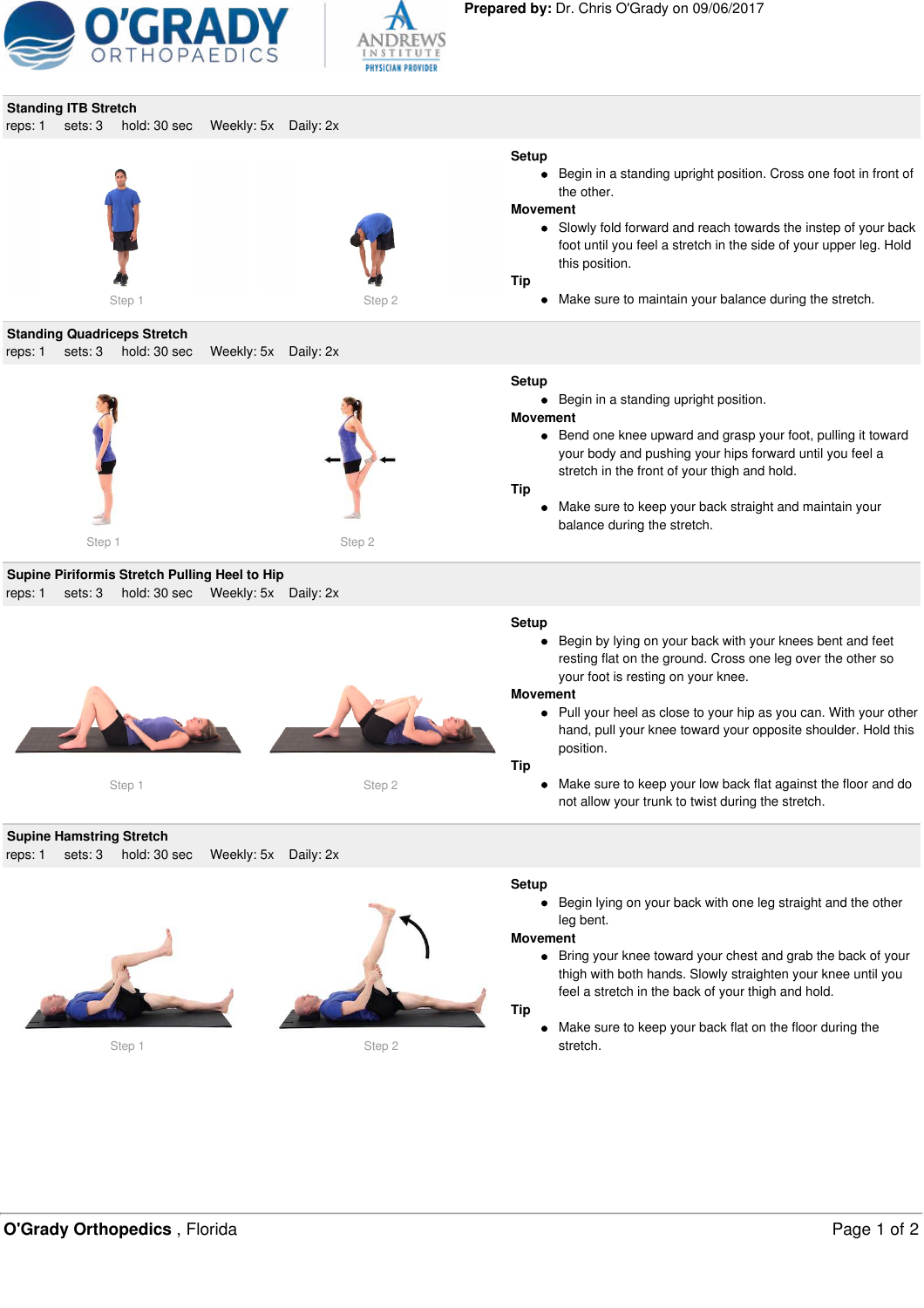



|         | <b>Standing ITB Stretch</b>                |                                    |                      |           |                                                                         |                                                                                                                                                                                                                                                                                                                                                                                                                                             |
|---------|--------------------------------------------|------------------------------------|----------------------|-----------|-------------------------------------------------------------------------|---------------------------------------------------------------------------------------------------------------------------------------------------------------------------------------------------------------------------------------------------------------------------------------------------------------------------------------------------------------------------------------------------------------------------------------------|
| reps: 1 | sets: 3                                    | hold: 30 sec                       | Weekly: 5x Daily: 2x |           |                                                                         |                                                                                                                                                                                                                                                                                                                                                                                                                                             |
|         |                                            |                                    |                      |           | <b>Setup</b>                                                            | • Begin in a standing upright position. Cross one foot in front of<br>the other.                                                                                                                                                                                                                                                                                                                                                            |
|         |                                            |                                    |                      |           | <b>Movement</b><br><b>Tip</b>                                           | • Slowly fold forward and reach towards the instep of your back<br>foot until you feel a stretch in the side of your upper leg. Hold<br>this position.                                                                                                                                                                                                                                                                                      |
|         |                                            | Step 1                             |                      | Step 2    |                                                                         | • Make sure to maintain your balance during the stretch.                                                                                                                                                                                                                                                                                                                                                                                    |
|         |                                            | <b>Standing Quadriceps Stretch</b> |                      |           |                                                                         |                                                                                                                                                                                                                                                                                                                                                                                                                                             |
| reps: 1 | sets: 3                                    | hold: 30 sec                       | Weekly: 5x           | Daily: 2x |                                                                         |                                                                                                                                                                                                                                                                                                                                                                                                                                             |
|         |                                            |                                    |                      |           | <b>Setup</b><br>$\bullet$<br><b>Movement</b><br><b>Tip</b><br>$\bullet$ | Begin in a standing upright position.<br>• Bend one knee upward and grasp your foot, pulling it toward<br>your body and pushing your hips forward until you feel a<br>stretch in the front of your thigh and hold.<br>Make sure to keep your back straight and maintain your<br>balance during the stretch.                                                                                                                                 |
|         | Step 1                                     |                                    |                      | Step 2    |                                                                         |                                                                                                                                                                                                                                                                                                                                                                                                                                             |
|         |                                            | Step 1                             |                      | Step 2    | <b>Setup</b><br><b>Movement</b><br>Tip                                  | • Begin by lying on your back with your knees bent and feet<br>resting flat on the ground. Cross one leg over the other so<br>your foot is resting on your knee.<br>• Pull your heel as close to your hip as you can. With your other<br>hand, pull your knee toward your opposite shoulder. Hold this<br>position.<br>• Make sure to keep your low back flat against the floor and do<br>not allow your trunk to twist during the stretch. |
| reps: 1 | <b>Supine Hamstring Stretch</b><br>sets: 3 | hold: 30 sec                       | Weekly: 5x Daily: 2x |           |                                                                         |                                                                                                                                                                                                                                                                                                                                                                                                                                             |
|         |                                            | Step 1                             |                      | Step 2    | Setup<br><b>Movement</b><br><b>Tip</b><br>٠                             | Begin lying on your back with one leg straight and the other<br>leg bent.<br>• Bring your knee toward your chest and grab the back of your<br>thigh with both hands. Slowly straighten your knee until you<br>feel a stretch in the back of your thigh and hold.<br>Make sure to keep your back flat on the floor during the<br>stretch.                                                                                                    |
|         |                                            |                                    |                      |           |                                                                         |                                                                                                                                                                                                                                                                                                                                                                                                                                             |